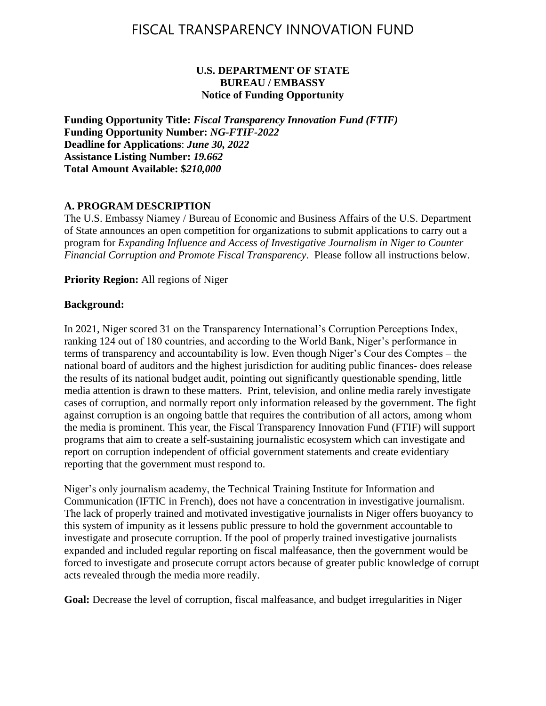#### **U.S. DEPARTMENT OF STATE BUREAU / EMBASSY Notice of Funding Opportunity**

**Funding Opportunity Title:** *Fiscal Transparency Innovation Fund (FTIF)* **Funding Opportunity Number:** *NG-FTIF-2022* **Deadline for Applications**: *June 30, 2022* **Assistance Listing Number:** *19.662* **Total Amount Available: \$***210,000*

### **A. PROGRAM DESCRIPTION**

The U.S. Embassy Niamey / Bureau of Economic and Business Affairs of the U.S. Department of State announces an open competition for organizations to submit applications to carry out a program for *Expanding Influence and Access of Investigative Journalism in Niger to Counter Financial Corruption and Promote Fiscal Transparency*. Please follow all instructions below.

**Priority Region:** All regions of Niger

#### **Background:**

In 2021, Niger scored 31 on the Transparency International's Corruption Perceptions Index, ranking 124 out of 180 countries, and according to the World Bank, Niger's performance in terms of transparency and accountability is low. Even though Niger's Cour des Comptes – the national board of auditors and the highest jurisdiction for auditing public finances- does release the results of its national budget audit, pointing out significantly questionable spending, little media attention is drawn to these matters. Print, television, and online media rarely investigate cases of corruption, and normally report only information released by the government. The fight against corruption is an ongoing battle that requires the contribution of all actors, among whom the media is prominent. This year, the Fiscal Transparency Innovation Fund (FTIF) will support programs that aim to create a self-sustaining journalistic ecosystem which can investigate and report on corruption independent of official government statements and create evidentiary reporting that the government must respond to.

Niger's only journalism academy, the Technical Training Institute for Information and Communication (IFTIC in French), does not have a concentration in investigative journalism. The lack of properly trained and motivated investigative journalists in Niger offers buoyancy to this system of impunity as it lessens public pressure to hold the government accountable to investigate and prosecute corruption. If the pool of properly trained investigative journalists expanded and included regular reporting on fiscal malfeasance, then the government would be forced to investigate and prosecute corrupt actors because of greater public knowledge of corrupt acts revealed through the media more readily.

**Goal:** Decrease the level of corruption, fiscal malfeasance, and budget irregularities in Niger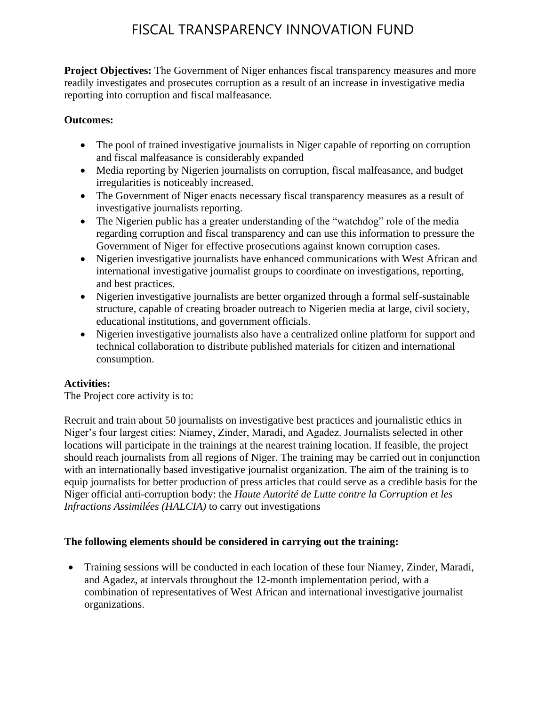**Project Objectives:** The Government of Niger enhances fiscal transparency measures and more readily investigates and prosecutes corruption as a result of an increase in investigative media reporting into corruption and fiscal malfeasance.

### **Outcomes:**

- The pool of trained investigative journalists in Niger capable of reporting on corruption and fiscal malfeasance is considerably expanded
- Media reporting by Nigerien journalists on corruption, fiscal malfeasance, and budget irregularities is noticeably increased.
- The Government of Niger enacts necessary fiscal transparency measures as a result of investigative journalists reporting.
- The Nigerien public has a greater understanding of the "watchdog" role of the media regarding corruption and fiscal transparency and can use this information to pressure the Government of Niger for effective prosecutions against known corruption cases.
- Nigerien investigative journalists have enhanced communications with West African and international investigative journalist groups to coordinate on investigations, reporting, and best practices.
- Nigerien investigative journalists are better organized through a formal self-sustainable structure, capable of creating broader outreach to Nigerien media at large, civil society, educational institutions, and government officials.
- Nigerien investigative journalists also have a centralized online platform for support and technical collaboration to distribute published materials for citizen and international consumption.

### **Activities:**

The Project core activity is to:

Recruit and train about 50 journalists on investigative best practices and journalistic ethics in Niger's four largest cities: Niamey, Zinder, Maradi, and Agadez. Journalists selected in other locations will participate in the trainings at the nearest training location. If feasible, the project should reach journalists from all regions of Niger. The training may be carried out in conjunction with an internationally based investigative journalist organization. The aim of the training is to equip journalists for better production of press articles that could serve as a credible basis for the Niger official anti-corruption body: the *Haute Autorité de Lutte contre la Corruption et les Infractions Assimilées (HALCIA)* to carry out investigations

### **The following elements should be considered in carrying out the training:**

• Training sessions will be conducted in each location of these four Niamey, Zinder, Maradi, and Agadez, at intervals throughout the 12-month implementation period, with a combination of representatives of West African and international investigative journalist organizations.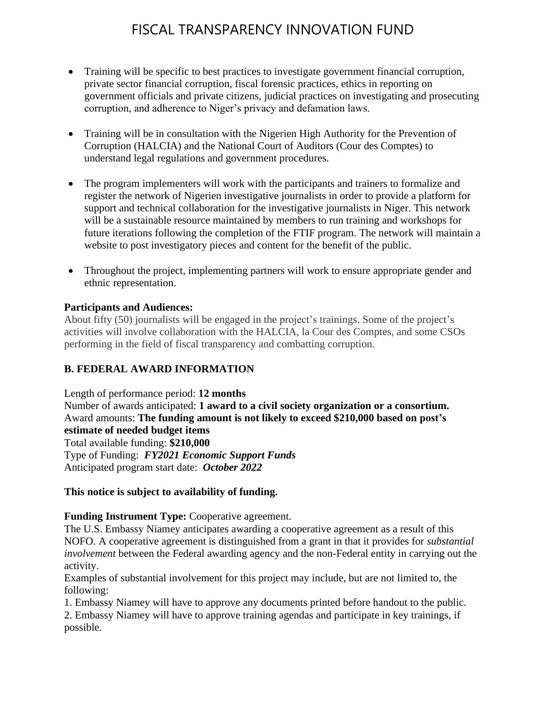- Training will be specific to best practices to investigate government financial corruption, private sector financial corruption, fiscal forensic practices, ethics in reporting on government officials and private citizens, judicial practices on investigating and prosecuting corruption, and adherence to Niger's privacy and defamation laws.
- Training will be in consultation with the Nigerien High Authority for the Prevention of Corruption (HALCIA) and the National Court of Auditors (Cour des Comptes) to understand legal regulations and government procedures.
- The program implementers will work with the participants and trainers to formalize and register the network of Nigerien investigative journalists in order to provide a platform for support and technical collaboration for the investigative journalists in Niger. This network will be a sustainable resource maintained by members to run training and workshops for future iterations following the completion of the FTIF program. The network will maintain a website to post investigatory pieces and content for the benefit of the public.
- Throughout the project, implementing partners will work to ensure appropriate gender and ethnic representation.

#### **Participants and Audiences:**

About fifty (50) journalists will be engaged in the project's trainings. Some of the project's activities will involve collaboration with the HALCIA, la Cour des Comptes, and some CSOs performing in the field of fiscal transparency and combatting corruption.

### **B. FEDERAL AWARD INFORMATION**

Length of performance period: **12 months** Number of awards anticipated: **1 award to a civil society organization or a consortium.** Award amounts: **The funding amount is not likely to exceed \$210,000 based on post's estimate of needed budget items** Total available funding: **\$210,000** Type of Funding: *FY2021 Economic Support Funds* Anticipated program start date: *October 2022*

#### **This notice is subject to availability of funding.**

**Funding Instrument Type:** Cooperative agreement.

The U.S. Embassy Niamey anticipates awarding a cooperative agreement as a result of this NOFO. A cooperative agreement is distinguished from a grant in that it provides for *substantial involvement* between the Federal awarding agency and the non-Federal entity in carrying out the activity.

Examples of substantial involvement for this project may include, but are not limited to, the following:

1. Embassy Niamey will have to approve any documents printed before handout to the public.

2. Embassy Niamey will have to approve training agendas and participate in key trainings, if possible.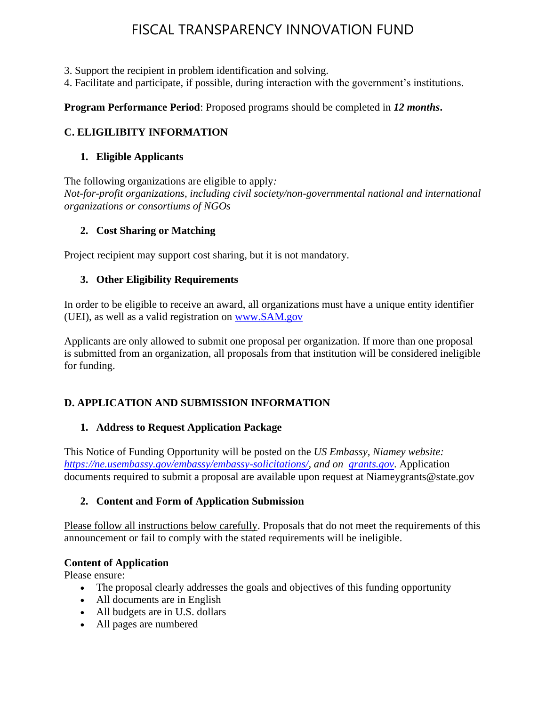3. Support the recipient in problem identification and solving.

4. Facilitate and participate, if possible, during interaction with the government's institutions.

#### **Program Performance Period**: Proposed programs should be completed in *12 months***.**

#### **C. ELIGILIBITY INFORMATION**

#### **1. Eligible Applicants**

The following organizations are eligible to apply*: Not-for-profit organizations, including civil society/non-governmental national and international organizations or consortiums of NGOs*

#### **2. Cost Sharing or Matching**

Project recipient may support cost sharing, but it is not mandatory.

#### **3. Other Eligibility Requirements**

In order to be eligible to receive an award, all organizations must have a unique entity identifier (UEI), as well as a valid registration on [www.SAM.gov](http://www.sam.gov/)

Applicants are only allowed to submit one proposal per organization. If more than one proposal is submitted from an organization, all proposals from that institution will be considered ineligible for funding.

### **D. APPLICATION AND SUBMISSION INFORMATION**

#### **1. Address to Request Application Package**

This Notice of Funding Opportunity will be posted on the *US Embassy, Niamey website: [https://ne.usembassy.gov/embassy/embassy-solicitations/,](https://ne.usembassy.gov/embassy/embassy-solicitations/) and on [grants.gov](file:///C:/Users/CarusoAN/AppData/Local/Microsoft/Windows/INetCache/Content.Outlook/E6JZC8HB/grants.gov)*. Application documents required to submit a proposal are available upon request at Niameygrants@state.gov

#### **2. Content and Form of Application Submission**

Please follow all instructions below carefully. Proposals that do not meet the requirements of this announcement or fail to comply with the stated requirements will be ineligible.

#### **Content of Application**

Please ensure:

- The proposal clearly addresses the goals and objectives of this funding opportunity
- All documents are in English
- All budgets are in U.S. dollars
- All pages are numbered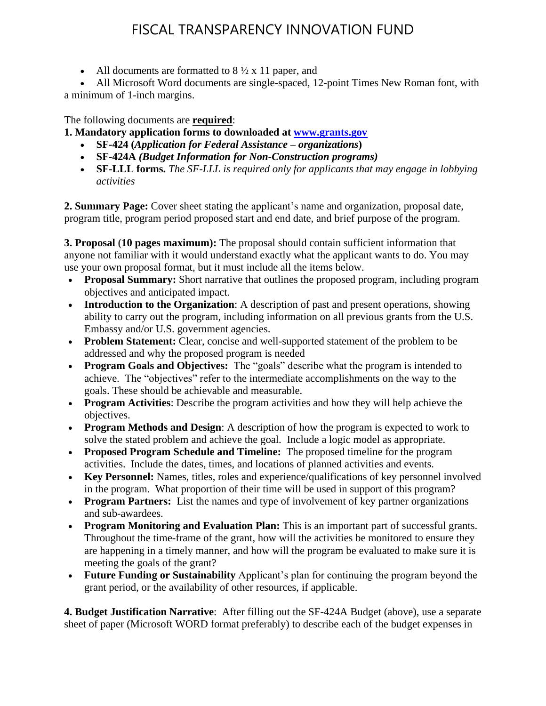• All documents are formatted to  $8\frac{1}{2} \times 11$  paper, and

• All Microsoft Word documents are single-spaced, 12-point Times New Roman font, with a minimum of 1-inch margins.

The following documents are **required**:

**1. Mandatory application forms to downloaded at [www.grants.gov](https://www.grants.gov/web/grants/forms/sf-424-family.html)**

- **SF-424 (***Application for Federal Assistance – organizations***)**
- **SF-424A** *(Budget Information for Non-Construction programs)*
- **SF-LLL forms.** *The SF-LLL is required only for applicants that may engage in lobbying activities*

**2. Summary Page:** Cover sheet stating the applicant's name and organization, proposal date, program title, program period proposed start and end date, and brief purpose of the program.

**3. Proposal (10 pages maximum):** The proposal should contain sufficient information that anyone not familiar with it would understand exactly what the applicant wants to do. You may use your own proposal format, but it must include all the items below.

- **Proposal Summary:** Short narrative that outlines the proposed program, including program objectives and anticipated impact.
- **Introduction to the Organization**: A description of past and present operations, showing ability to carry out the program, including information on all previous grants from the U.S. Embassy and/or U.S. government agencies.
- **Problem Statement:** Clear, concise and well-supported statement of the problem to be addressed and why the proposed program is needed
- **Program Goals and Objectives:** The "goals" describe what the program is intended to achieve. The "objectives" refer to the intermediate accomplishments on the way to the goals. These should be achievable and measurable.
- **Program Activities**: Describe the program activities and how they will help achieve the objectives.
- **Program Methods and Design**: A description of how the program is expected to work to solve the stated problem and achieve the goal. Include a logic model as appropriate.
- **Proposed Program Schedule and Timeline:** The proposed timeline for the program activities. Include the dates, times, and locations of planned activities and events.
- **Key Personnel:** Names, titles, roles and experience/qualifications of key personnel involved in the program. What proportion of their time will be used in support of this program?
- **Program Partners:** List the names and type of involvement of key partner organizations and sub-awardees.
- **Program Monitoring and Evaluation Plan:** This is an important part of successful grants. Throughout the time-frame of the grant, how will the activities be monitored to ensure they are happening in a timely manner, and how will the program be evaluated to make sure it is meeting the goals of the grant?
- **Future Funding or Sustainability** Applicant's plan for continuing the program beyond the grant period, or the availability of other resources, if applicable.

**4. Budget Justification Narrative**: After filling out the SF-424A Budget (above), use a separate sheet of paper (Microsoft WORD format preferably) to describe each of the budget expenses in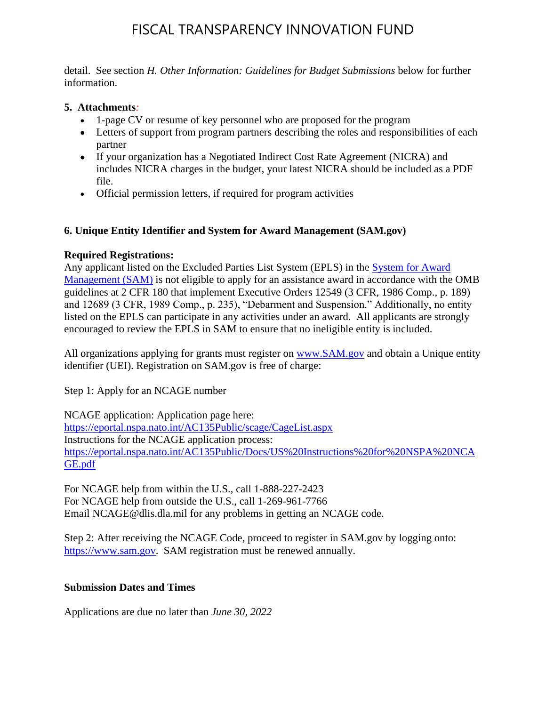detail. See section *H. Other Information: Guidelines for Budget Submissions* below for further information.

#### **5. Attachments***:*

- 1-page CV or resume of key personnel who are proposed for the program
- Letters of support from program partners describing the roles and responsibilities of each partner
- If your organization has a Negotiated Indirect Cost Rate Agreement (NICRA) and includes NICRA charges in the budget, your latest NICRA should be included as a PDF file.
- Official permission letters, if required for program activities

### **6. Unique Entity Identifier and System for Award Management (SAM.gov)**

### **Required Registrations:**

Any applicant listed on the Excluded Parties List System (EPLS) in the [System for Award](https://sam.gov/)  [Management \(SAM\)](https://sam.gov/) is not eligible to apply for an assistance award in accordance with the OMB guidelines at 2 CFR 180 that implement Executive Orders 12549 (3 CFR, 1986 Comp., p. 189) and 12689 (3 CFR, 1989 Comp., p. 235), "Debarment and Suspension." Additionally, no entity listed on the EPLS can participate in any activities under an award. All applicants are strongly encouraged to review the EPLS in SAM to ensure that no ineligible entity is included.

All organizations applying for grants must register on [www.SAM.gov](http://www.sam.gov/) and obtain a Unique entity identifier (UEI). Registration on SAM.gov is free of charge:

Step 1: Apply for an NCAGE number

NCAGE application: Application page here: <https://eportal.nspa.nato.int/AC135Public/scage/CageList.aspx> Instructions for the NCAGE application process: [https://eportal.nspa.nato.int/AC135Public/Docs/US%20Instructions%20for%20NSPA%20NCA](https://eportal.nspa.nato.int/AC135Public/Docs/US%20Instructions%20for%20NSPA%20NCAGE.pdf) [GE.pdf](https://eportal.nspa.nato.int/AC135Public/Docs/US%20Instructions%20for%20NSPA%20NCAGE.pdf)

For NCAGE help from within the U.S., call 1-888-227-2423 For NCAGE help from outside the U.S., call 1-269-961-7766 Email NCAGE@dlis.dla.mil for any problems in getting an NCAGE code.

Step 2: After receiving the NCAGE Code, proceed to register in SAM.gov by logging onto: [https://www.sam.gov.](https://www.sam.gov/) SAM registration must be renewed annually.

### **Submission Dates and Times**

Applications are due no later than *June 30, 2022*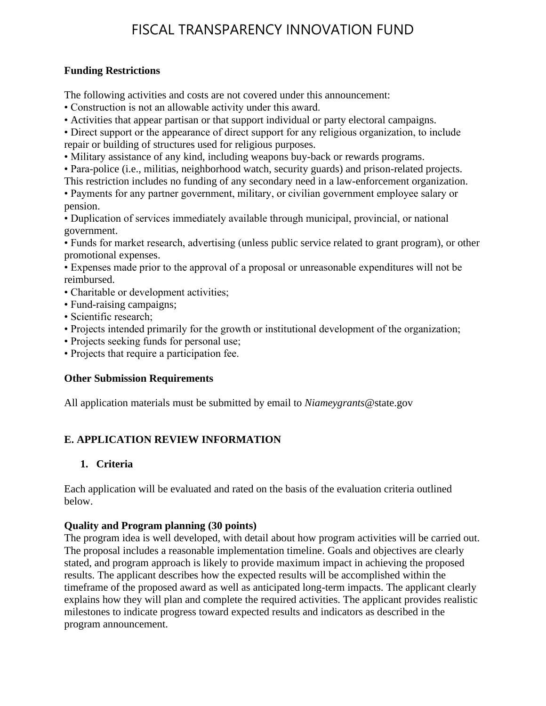#### **Funding Restrictions**

The following activities and costs are not covered under this announcement:

- Construction is not an allowable activity under this award.
- Activities that appear partisan or that support individual or party electoral campaigns.

• Direct support or the appearance of direct support for any religious organization, to include repair or building of structures used for religious purposes.

- Military assistance of any kind, including weapons buy-back or rewards programs.
- Para-police (i.e., militias, neighborhood watch, security guards) and prison-related projects.
- This restriction includes no funding of any secondary need in a law-enforcement organization.

• Payments for any partner government, military, or civilian government employee salary or pension.

• Duplication of services immediately available through municipal, provincial, or national government.

• Funds for market research, advertising (unless public service related to grant program), or other promotional expenses.

• Expenses made prior to the approval of a proposal or unreasonable expenditures will not be reimbursed.

- Charitable or development activities;
- Fund-raising campaigns;
- Scientific research;
- Projects intended primarily for the growth or institutional development of the organization;
- Projects seeking funds for personal use;
- Projects that require a participation fee.

### **Other Submission Requirements**

All application materials must be submitted by email to *Niameygrants*@state.gov

## **E. APPLICATION REVIEW INFORMATION**

### **1. Criteria**

Each application will be evaluated and rated on the basis of the evaluation criteria outlined below.

### **Quality and Program planning (30 points)**

The program idea is well developed, with detail about how program activities will be carried out. The proposal includes a reasonable implementation timeline. Goals and objectives are clearly stated, and program approach is likely to provide maximum impact in achieving the proposed results. The applicant describes how the expected results will be accomplished within the timeframe of the proposed award as well as anticipated long-term impacts. The applicant clearly explains how they will plan and complete the required activities. The applicant provides realistic milestones to indicate progress toward expected results and indicators as described in the program announcement.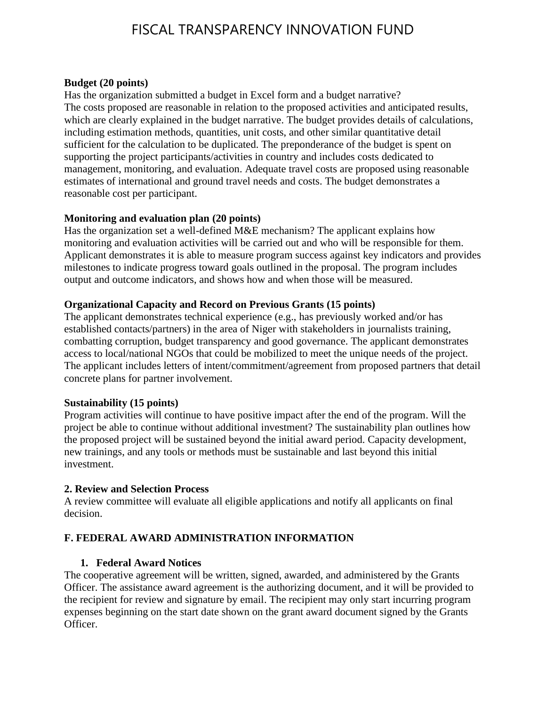#### **Budget (20 points)**

Has the organization submitted a budget in Excel form and a budget narrative? The costs proposed are reasonable in relation to the proposed activities and anticipated results, which are clearly explained in the budget narrative. The budget provides details of calculations, including estimation methods, quantities, unit costs, and other similar quantitative detail sufficient for the calculation to be duplicated. The preponderance of the budget is spent on supporting the project participants/activities in country and includes costs dedicated to management, monitoring, and evaluation. Adequate travel costs are proposed using reasonable estimates of international and ground travel needs and costs. The budget demonstrates a reasonable cost per participant.

#### **Monitoring and evaluation plan (20 points)**

Has the organization set a well-defined M&E mechanism? The applicant explains how monitoring and evaluation activities will be carried out and who will be responsible for them. Applicant demonstrates it is able to measure program success against key indicators and provides milestones to indicate progress toward goals outlined in the proposal. The program includes output and outcome indicators, and shows how and when those will be measured.

#### **Organizational Capacity and Record on Previous Grants (15 points)**

The applicant demonstrates technical experience (e.g., has previously worked and/or has established contacts/partners) in the area of Niger with stakeholders in journalists training, combatting corruption, budget transparency and good governance. The applicant demonstrates access to local/national NGOs that could be mobilized to meet the unique needs of the project. The applicant includes letters of intent/commitment/agreement from proposed partners that detail concrete plans for partner involvement.

#### **Sustainability (15 points)**

Program activities will continue to have positive impact after the end of the program. Will the project be able to continue without additional investment? The sustainability plan outlines how the proposed project will be sustained beyond the initial award period. Capacity development, new trainings, and any tools or methods must be sustainable and last beyond this initial investment.

#### **2. Review and Selection Process**

A review committee will evaluate all eligible applications and notify all applicants on final decision.

#### **F. FEDERAL AWARD ADMINISTRATION INFORMATION**

#### **1. Federal Award Notices**

The cooperative agreement will be written, signed, awarded, and administered by the Grants Officer. The assistance award agreement is the authorizing document, and it will be provided to the recipient for review and signature by email. The recipient may only start incurring program expenses beginning on the start date shown on the grant award document signed by the Grants Officer.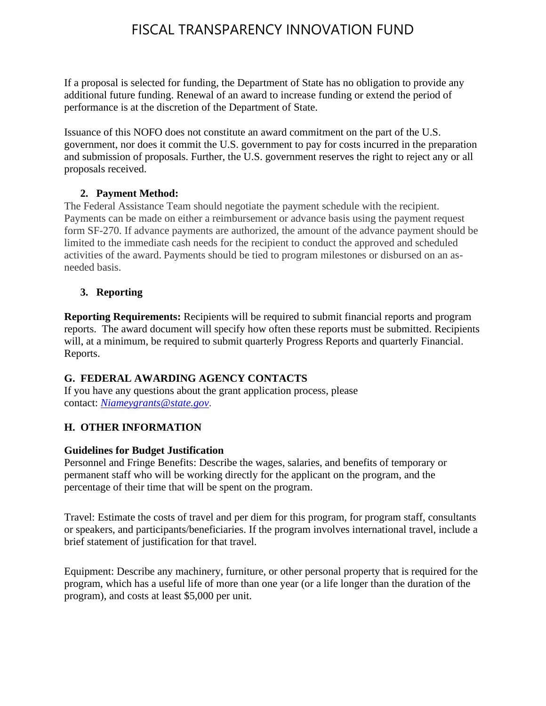If a proposal is selected for funding, the Department of State has no obligation to provide any additional future funding. Renewal of an award to increase funding or extend the period of performance is at the discretion of the Department of State.

Issuance of this NOFO does not constitute an award commitment on the part of the U.S. government, nor does it commit the U.S. government to pay for costs incurred in the preparation and submission of proposals. Further, the U.S. government reserves the right to reject any or all proposals received.

## **2. Payment Method:**

The Federal Assistance Team should negotiate the payment schedule with the recipient. Payments can be made on either a reimbursement or advance basis using the payment request form SF-270. If advance payments are authorized, the amount of the advance payment should be limited to the immediate cash needs for the recipient to conduct the approved and scheduled activities of the award. Payments should be tied to program milestones or disbursed on an asneeded basis.

## **3. Reporting**

**Reporting Requirements:** Recipients will be required to submit financial reports and program reports. The award document will specify how often these reports must be submitted. Recipients will, at a minimum, be required to submit quarterly Progress Reports and quarterly Financial. Reports.

## **G. FEDERAL AWARDING AGENCY CONTACTS**

If you have any questions about the grant application process, please contact: *[Niameygrants@state.gov](mailto:Niameygrants@state.gov)*.

### **H. OTHER INFORMATION**

### **Guidelines for Budget Justification**

Personnel and Fringe Benefits: Describe the wages, salaries, and benefits of temporary or permanent staff who will be working directly for the applicant on the program, and the percentage of their time that will be spent on the program.

Travel: Estimate the costs of travel and per diem for this program, for program staff, consultants or speakers, and participants/beneficiaries. If the program involves international travel, include a brief statement of justification for that travel.

Equipment: Describe any machinery, furniture, or other personal property that is required for the program, which has a useful life of more than one year (or a life longer than the duration of the program), and costs at least \$5,000 per unit.